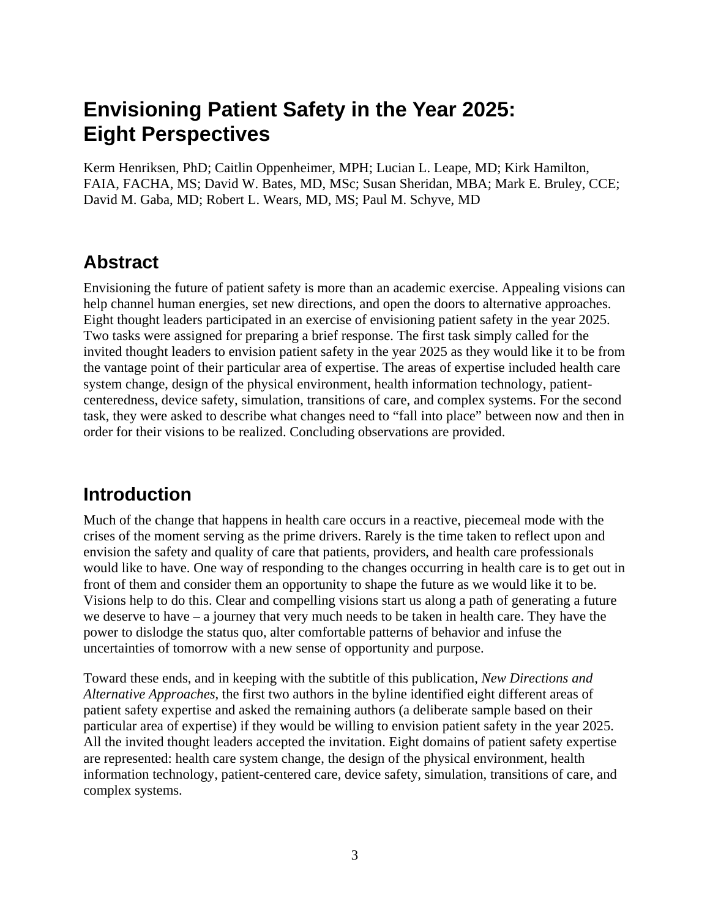# **Envisioning Patient Safety in the Year 2025: Eight Perspectives**

Kerm Henriksen, PhD; Caitlin Oppenheimer, MPH; Lucian L. Leape, MD; Kirk Hamilton, FAIA, FACHA, MS; David W. Bates, MD, MSc; Susan Sheridan, MBA; Mark E. Bruley, CCE; David M. Gaba, MD; Robert L. Wears, MD, MS; Paul M. Schyve, MD

## **Abstract**

Envisioning the future of patient safety is more than an academic exercise. Appealing visions can help channel human energies, set new directions, and open the doors to alternative approaches. Eight thought leaders participated in an exercise of envisioning patient safety in the year 2025. Two tasks were assigned for preparing a brief response. The first task simply called for the invited thought leaders to envision patient safety in the year 2025 as they would like it to be from the vantage point of their particular area of expertise. The areas of expertise included health care system change, design of the physical environment, health information technology, patientcenteredness, device safety, simulation, transitions of care, and complex systems. For the second task, they were asked to describe what changes need to "fall into place" between now and then in order for their visions to be realized. Concluding observations are provided.

## **Introduction**

Much of the change that happens in health care occurs in a reactive, piecemeal mode with the crises of the moment serving as the prime drivers. Rarely is the time taken to reflect upon and envision the safety and quality of care that patients, providers, and health care professionals would like to have. One way of responding to the changes occurring in health care is to get out in front of them and consider them an opportunity to shape the future as we would like it to be. Visions help to do this. Clear and compelling visions start us along a path of generating a future we deserve to have – a journey that very much needs to be taken in health care. They have the power to dislodge the status quo, alter comfortable patterns of behavior and infuse the uncertainties of tomorrow with a new sense of opportunity and purpose.

Toward these ends, and in keeping with the subtitle of this publication, *New Directions and Alternative Approaches*, the first two authors in the byline identified eight different areas of patient safety expertise and asked the remaining authors (a deliberate sample based on their particular area of expertise) if they would be willing to envision patient safety in the year 2025. All the invited thought leaders accepted the invitation. Eight domains of patient safety expertise are represented: health care system change, the design of the physical environment, health information technology, patient-centered care, device safety, simulation, transitions of care, and complex systems.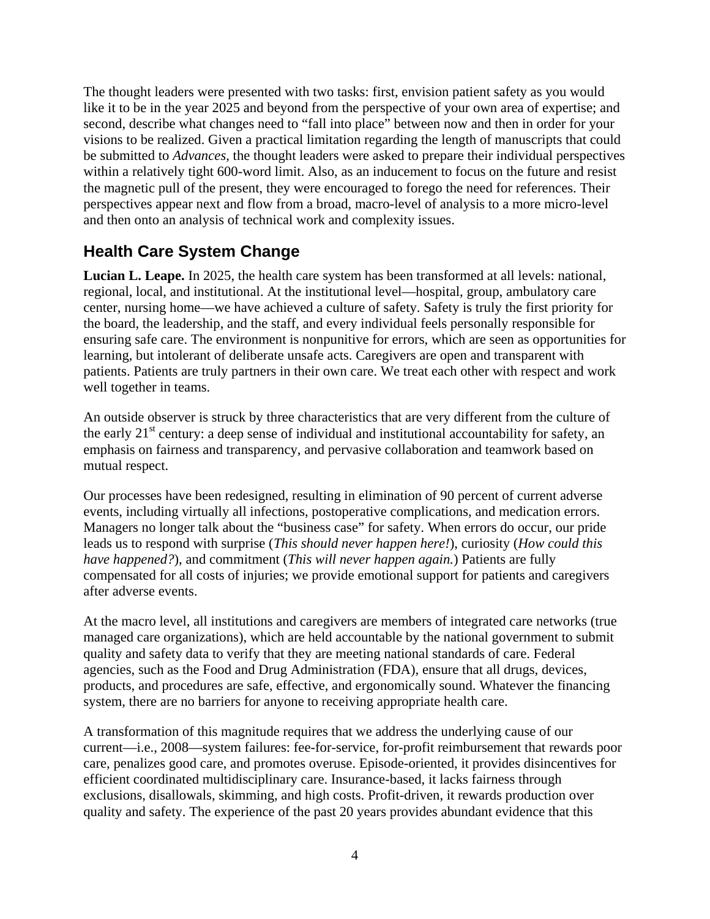The thought leaders were presented with two tasks: first, envision patient safety as you would like it to be in the year 2025 and beyond from the perspective of your own area of expertise; and second, describe what changes need to "fall into place" between now and then in order for your visions to be realized. Given a practical limitation regarding the length of manuscripts that could be submitted to *Advances,* the thought leaders were asked to prepare their individual perspectives within a relatively tight 600-word limit. Also, as an inducement to focus on the future and resist the magnetic pull of the present, they were encouraged to forego the need for references. Their perspectives appear next and flow from a broad, macro-level of analysis to a more micro-level and then onto an analysis of technical work and complexity issues.

### **Health Care System Change**

**Lucian L. Leape.** In 2025, the health care system has been transformed at all levels: national, regional, local, and institutional. At the institutional level—hospital, group, ambulatory care center, nursing home—we have achieved a culture of safety. Safety is truly the first priority for the board, the leadership, and the staff, and every individual feels personally responsible for ensuring safe care. The environment is nonpunitive for errors, which are seen as opportunities for learning, but intolerant of deliberate unsafe acts. Caregivers are open and transparent with patients. Patients are truly partners in their own care. We treat each other with respect and work well together in teams.

An outside observer is struck by three characteristics that are very different from the culture of the early  $21<sup>st</sup>$  century: a deep sense of individual and institutional accountability for safety, an emphasis on fairness and transparency, and pervasive collaboration and teamwork based on mutual respect.

Our processes have been redesigned, resulting in elimination of 90 percent of current adverse events, including virtually all infections, postoperative complications, and medication errors. Managers no longer talk about the "business case" for safety. When errors do occur, our pride leads us to respond with surprise (*This should never happen here!*), curiosity (*How could this have happened?*), and commitment (*This will never happen again.*) Patients are fully compensated for all costs of injuries; we provide emotional support for patients and caregivers after adverse events.

At the macro level, all institutions and caregivers are members of integrated care networks (true managed care organizations), which are held accountable by the national government to submit quality and safety data to verify that they are meeting national standards of care. Federal agencies, such as the Food and Drug Administration (FDA), ensure that all drugs, devices, products, and procedures are safe, effective, and ergonomically sound. Whatever the financing system, there are no barriers for anyone to receiving appropriate health care.

A transformation of this magnitude requires that we address the underlying cause of our current—i.e., 2008—system failures: fee-for-service, for-profit reimbursement that rewards poor care, penalizes good care, and promotes overuse. Episode-oriented, it provides disincentives for efficient coordinated multidisciplinary care. Insurance-based, it lacks fairness through exclusions, disallowals, skimming, and high costs. Profit-driven, it rewards production over quality and safety. The experience of the past 20 years provides abundant evidence that this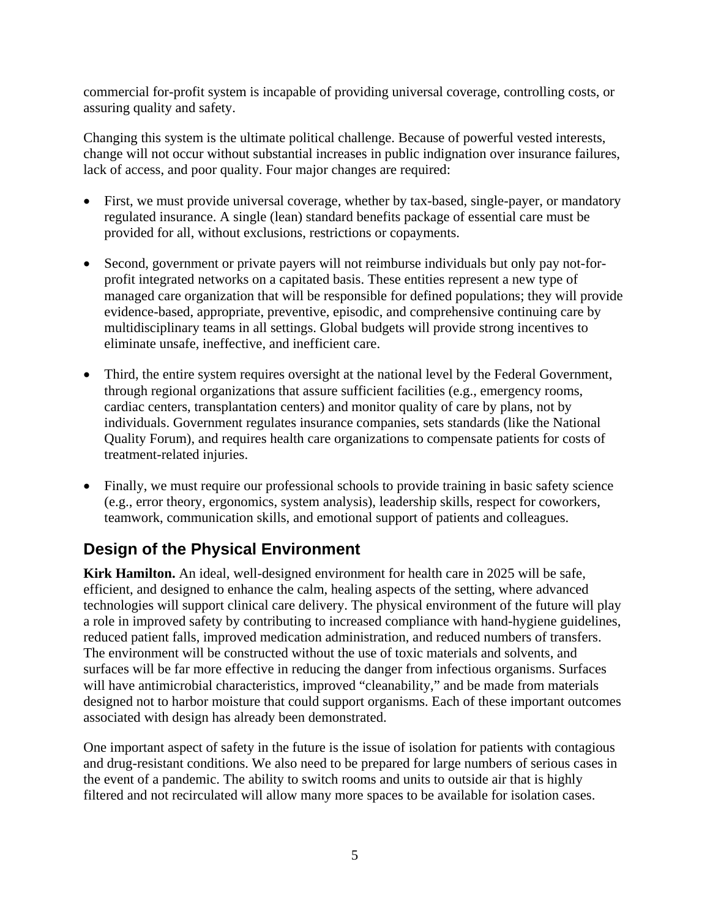commercial for-profit system is incapable of providing universal coverage, controlling costs, or assuring quality and safety.

Changing this system is the ultimate political challenge. Because of powerful vested interests, change will not occur without substantial increases in public indignation over insurance failures, lack of access, and poor quality. Four major changes are required:

- First, we must provide universal coverage, whether by tax-based, single-payer, or mandatory regulated insurance. A single (lean) standard benefits package of essential care must be provided for all, without exclusions, restrictions or copayments.
- Second, government or private payers will not reimburse individuals but only pay not-forprofit integrated networks on a capitated basis. These entities represent a new type of managed care organization that will be responsible for defined populations; they will provide evidence-based, appropriate, preventive, episodic, and comprehensive continuing care by multidisciplinary teams in all settings. Global budgets will provide strong incentives to eliminate unsafe, ineffective, and inefficient care.
- Third, the entire system requires oversight at the national level by the Federal Government, through regional organizations that assure sufficient facilities (e.g., emergency rooms, cardiac centers, transplantation centers) and monitor quality of care by plans, not by individuals. Government regulates insurance companies, sets standards (like the National Quality Forum), and requires health care organizations to compensate patients for costs of treatment-related injuries.
- Finally, we must require our professional schools to provide training in basic safety science (e.g., error theory, ergonomics, system analysis), leadership skills, respect for coworkers, teamwork, communication skills, and emotional support of patients and colleagues.

### **Design of the Physical Environment**

**Kirk Hamilton.** An ideal, well-designed environment for health care in 2025 will be safe, efficient, and designed to enhance the calm, healing aspects of the setting, where advanced technologies will support clinical care delivery. The physical environment of the future will play a role in improved safety by contributing to increased compliance with hand-hygiene guidelines, reduced patient falls, improved medication administration, and reduced numbers of transfers. The environment will be constructed without the use of toxic materials and solvents, and surfaces will be far more effective in reducing the danger from infectious organisms. Surfaces will have antimicrobial characteristics, improved "cleanability," and be made from materials designed not to harbor moisture that could support organisms. Each of these important outcomes associated with design has already been demonstrated.

One important aspect of safety in the future is the issue of isolation for patients with contagious and drug-resistant conditions. We also need to be prepared for large numbers of serious cases in the event of a pandemic. The ability to switch rooms and units to outside air that is highly filtered and not recirculated will allow many more spaces to be available for isolation cases.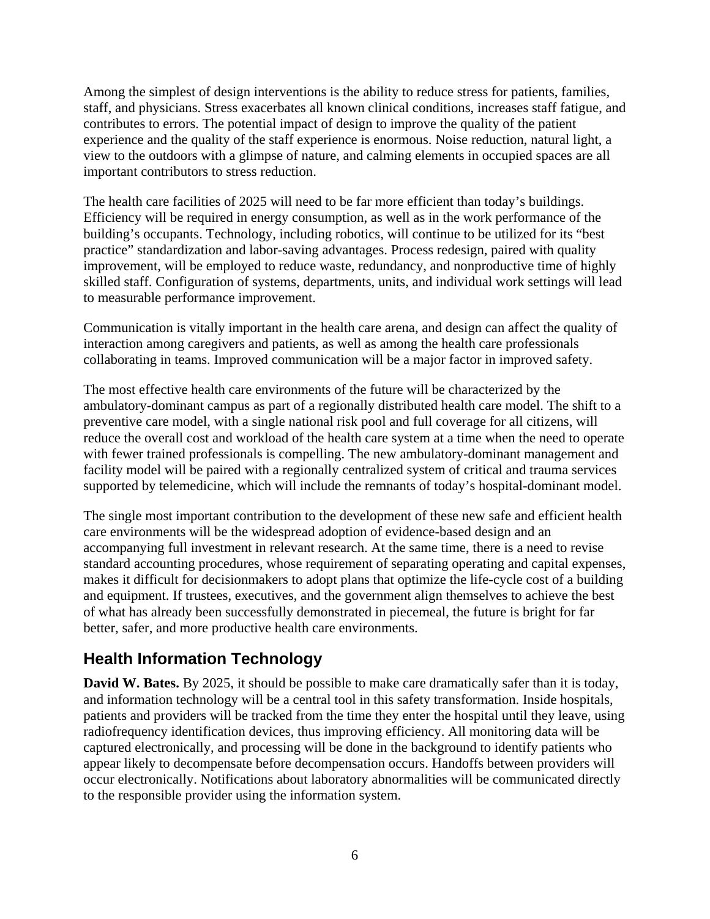Among the simplest of design interventions is the ability to reduce stress for patients, families, staff, and physicians. Stress exacerbates all known clinical conditions, increases staff fatigue, and contributes to errors. The potential impact of design to improve the quality of the patient experience and the quality of the staff experience is enormous. Noise reduction, natural light, a view to the outdoors with a glimpse of nature, and calming elements in occupied spaces are all important contributors to stress reduction.

The health care facilities of 2025 will need to be far more efficient than today's buildings. Efficiency will be required in energy consumption, as well as in the work performance of the building's occupants. Technology, including robotics, will continue to be utilized for its "best practice" standardization and labor-saving advantages. Process redesign, paired with quality improvement, will be employed to reduce waste, redundancy, and nonproductive time of highly skilled staff. Configuration of systems, departments, units, and individual work settings will lead to measurable performance improvement.

Communication is vitally important in the health care arena, and design can affect the quality of interaction among caregivers and patients, as well as among the health care professionals collaborating in teams. Improved communication will be a major factor in improved safety.

The most effective health care environments of the future will be characterized by the ambulatory-dominant campus as part of a regionally distributed health care model. The shift to a preventive care model, with a single national risk pool and full coverage for all citizens, will reduce the overall cost and workload of the health care system at a time when the need to operate with fewer trained professionals is compelling. The new ambulatory-dominant management and facility model will be paired with a regionally centralized system of critical and trauma services supported by telemedicine, which will include the remnants of today's hospital-dominant model.

The single most important contribution to the development of these new safe and efficient health care environments will be the widespread adoption of evidence-based design and an accompanying full investment in relevant research. At the same time, there is a need to revise standard accounting procedures, whose requirement of separating operating and capital expenses, makes it difficult for decisionmakers to adopt plans that optimize the life-cycle cost of a building and equipment. If trustees, executives, and the government align themselves to achieve the best of what has already been successfully demonstrated in piecemeal, the future is bright for far better, safer, and more productive health care environments.

### **Health Information Technology**

**David W. Bates.** By 2025, it should be possible to make care dramatically safer than it is today, and information technology will be a central tool in this safety transformation. Inside hospitals, patients and providers will be tracked from the time they enter the hospital until they leave, using radiofrequency identification devices, thus improving efficiency. All monitoring data will be captured electronically, and processing will be done in the background to identify patients who appear likely to decompensate before decompensation occurs. Handoffs between providers will occur electronically. Notifications about laboratory abnormalities will be communicated directly to the responsible provider using the information system.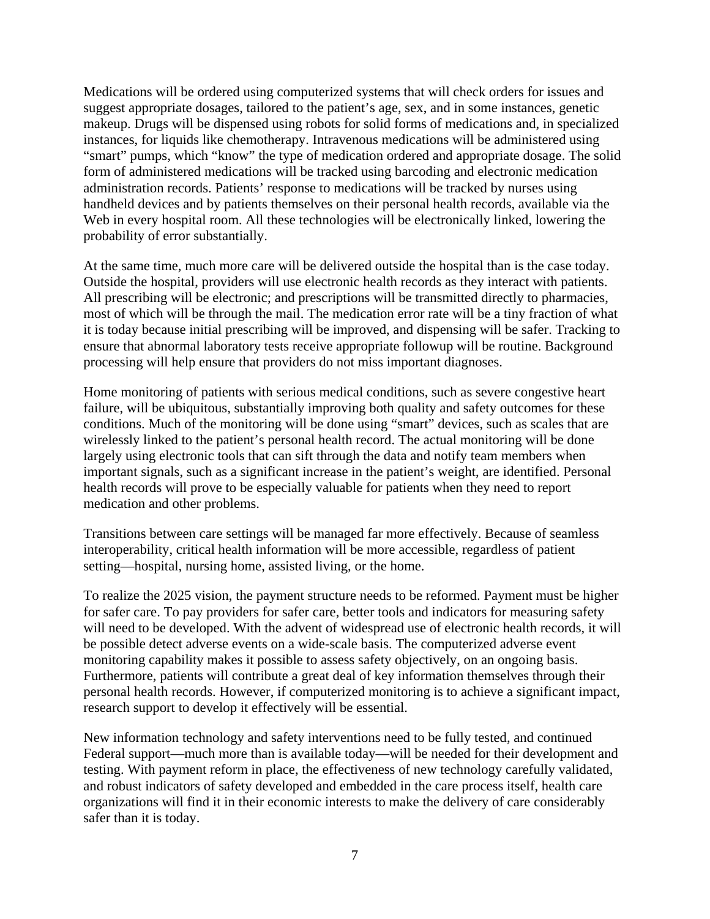Medications will be ordered using computerized systems that will check orders for issues and suggest appropriate dosages, tailored to the patient's age, sex, and in some instances, genetic makeup. Drugs will be dispensed using robots for solid forms of medications and, in specialized instances, for liquids like chemotherapy. Intravenous medications will be administered using "smart" pumps, which "know" the type of medication ordered and appropriate dosage. The solid form of administered medications will be tracked using barcoding and electronic medication administration records. Patients' response to medications will be tracked by nurses using handheld devices and by patients themselves on their personal health records, available via the Web in every hospital room. All these technologies will be electronically linked, lowering the probability of error substantially.

At the same time, much more care will be delivered outside the hospital than is the case today. Outside the hospital, providers will use electronic health records as they interact with patients. All prescribing will be electronic; and prescriptions will be transmitted directly to pharmacies, most of which will be through the mail. The medication error rate will be a tiny fraction of what it is today because initial prescribing will be improved, and dispensing will be safer. Tracking to ensure that abnormal laboratory tests receive appropriate followup will be routine. Background processing will help ensure that providers do not miss important diagnoses.

Home monitoring of patients with serious medical conditions, such as severe congestive heart failure, will be ubiquitous, substantially improving both quality and safety outcomes for these conditions. Much of the monitoring will be done using "smart" devices, such as scales that are wirelessly linked to the patient's personal health record. The actual monitoring will be done largely using electronic tools that can sift through the data and notify team members when important signals, such as a significant increase in the patient's weight, are identified. Personal health records will prove to be especially valuable for patients when they need to report medication and other problems.

Transitions between care settings will be managed far more effectively. Because of seamless interoperability, critical health information will be more accessible, regardless of patient setting—hospital, nursing home, assisted living, or the home.

To realize the 2025 vision, the payment structure needs to be reformed. Payment must be higher for safer care. To pay providers for safer care, better tools and indicators for measuring safety will need to be developed. With the advent of widespread use of electronic health records, it will be possible detect adverse events on a wide-scale basis. The computerized adverse event monitoring capability makes it possible to assess safety objectively, on an ongoing basis. Furthermore, patients will contribute a great deal of key information themselves through their personal health records. However, if computerized monitoring is to achieve a significant impact, research support to develop it effectively will be essential.

New information technology and safety interventions need to be fully tested, and continued Federal support—much more than is available today—will be needed for their development and testing. With payment reform in place, the effectiveness of new technology carefully validated, and robust indicators of safety developed and embedded in the care process itself, health care organizations will find it in their economic interests to make the delivery of care considerably safer than it is today.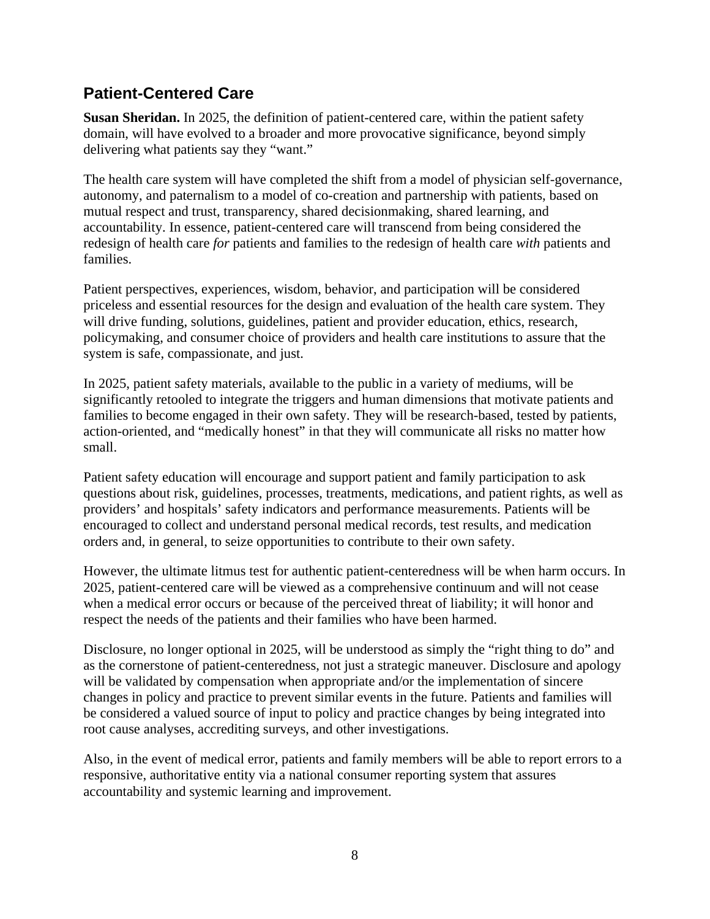#### **Patient-Centered Care**

**Susan Sheridan.** In 2025, the definition of patient-centered care, within the patient safety domain, will have evolved to a broader and more provocative significance, beyond simply delivering what patients say they "want."

The health care system will have completed the shift from a model of physician self-governance, autonomy, and paternalism to a model of co-creation and partnership with patients, based on mutual respect and trust, transparency, shared decisionmaking, shared learning, and accountability. In essence, patient-centered care will transcend from being considered the redesign of health care *for* patients and families to the redesign of health care *with* patients and families.

Patient perspectives, experiences, wisdom, behavior, and participation will be considered priceless and essential resources for the design and evaluation of the health care system. They will drive funding, solutions, guidelines, patient and provider education, ethics, research, policymaking, and consumer choice of providers and health care institutions to assure that the system is safe, compassionate, and just.

In 2025, patient safety materials, available to the public in a variety of mediums, will be significantly retooled to integrate the triggers and human dimensions that motivate patients and families to become engaged in their own safety. They will be research-based, tested by patients, action-oriented, and "medically honest" in that they will communicate all risks no matter how small.

Patient safety education will encourage and support patient and family participation to ask questions about risk, guidelines, processes, treatments, medications, and patient rights, as well as providers' and hospitals' safety indicators and performance measurements. Patients will be encouraged to collect and understand personal medical records, test results, and medication orders and, in general, to seize opportunities to contribute to their own safety.

However, the ultimate litmus test for authentic patient-centeredness will be when harm occurs. In 2025, patient-centered care will be viewed as a comprehensive continuum and will not cease when a medical error occurs or because of the perceived threat of liability; it will honor and respect the needs of the patients and their families who have been harmed.

Disclosure, no longer optional in 2025, will be understood as simply the "right thing to do" and as the cornerstone of patient-centeredness, not just a strategic maneuver. Disclosure and apology will be validated by compensation when appropriate and/or the implementation of sincere changes in policy and practice to prevent similar events in the future. Patients and families will be considered a valued source of input to policy and practice changes by being integrated into root cause analyses, accrediting surveys, and other investigations.

Also, in the event of medical error, patients and family members will be able to report errors to a responsive, authoritative entity via a national consumer reporting system that assures accountability and systemic learning and improvement.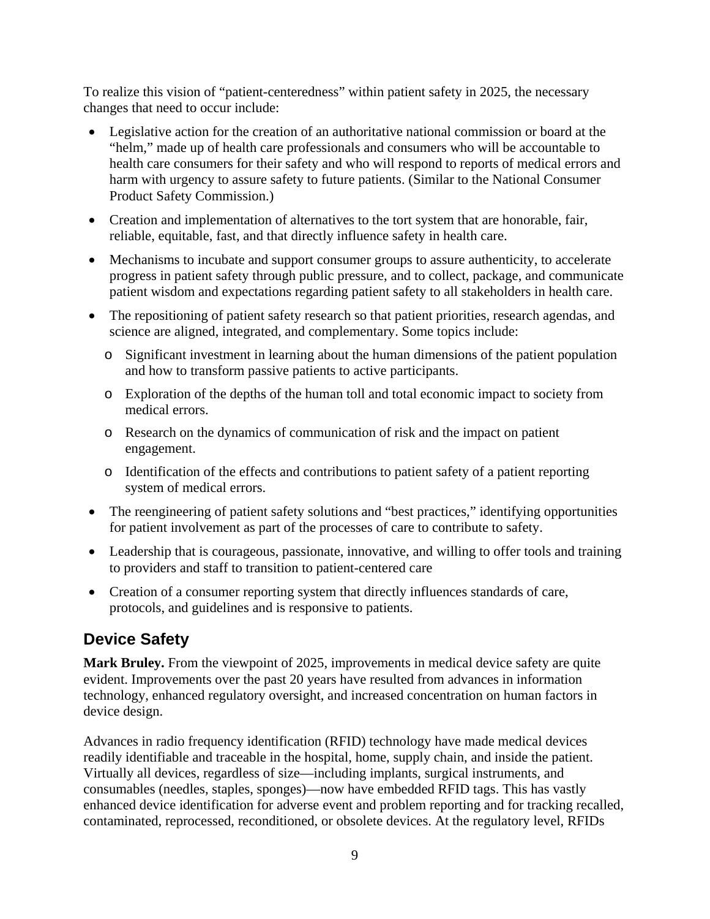To realize this vision of "patient-centeredness" within patient safety in 2025, the necessary changes that need to occur include:

- Legislative action for the creation of an authoritative national commission or board at the "helm," made up of health care professionals and consumers who will be accountable to health care consumers for their safety and who will respond to reports of medical errors and harm with urgency to assure safety to future patients. (Similar to the National Consumer Product Safety Commission.)
- Creation and implementation of alternatives to the tort system that are honorable, fair, reliable, equitable, fast, and that directly influence safety in health care.
- Mechanisms to incubate and support consumer groups to assure authenticity, to accelerate progress in patient safety through public pressure, and to collect, package, and communicate patient wisdom and expectations regarding patient safety to all stakeholders in health care.
- The repositioning of patient safety research so that patient priorities, research agendas, and science are aligned, integrated, and complementary. Some topics include:
	- o Significant investment in learning about the human dimensions of the patient population and how to transform passive patients to active participants.
	- o Exploration of the depths of the human toll and total economic impact to society from medical errors.
	- o Research on the dynamics of communication of risk and the impact on patient engagement.
	- o Identification of the effects and contributions to patient safety of a patient reporting system of medical errors.
- The reengineering of patient safety solutions and "best practices," identifying opportunities for patient involvement as part of the processes of care to contribute to safety.
- Leadership that is courageous, passionate, innovative, and willing to offer tools and training to providers and staff to transition to patient-centered care
- Creation of a consumer reporting system that directly influences standards of care, protocols, and guidelines and is responsive to patients.

### **Device Safety**

**Mark Bruley.** From the viewpoint of 2025, improvements in medical device safety are quite evident. Improvements over the past 20 years have resulted from advances in information technology, enhanced regulatory oversight, and increased concentration on human factors in device design.

Advances in radio frequency identification (RFID) technology have made medical devices readily identifiable and traceable in the hospital, home, supply chain, and inside the patient. Virtually all devices, regardless of size—including implants, surgical instruments, and consumables (needles, staples, sponges)—now have embedded RFID tags. This has vastly enhanced device identification for adverse event and problem reporting and for tracking recalled, contaminated, reprocessed, reconditioned, or obsolete devices. At the regulatory level, RFIDs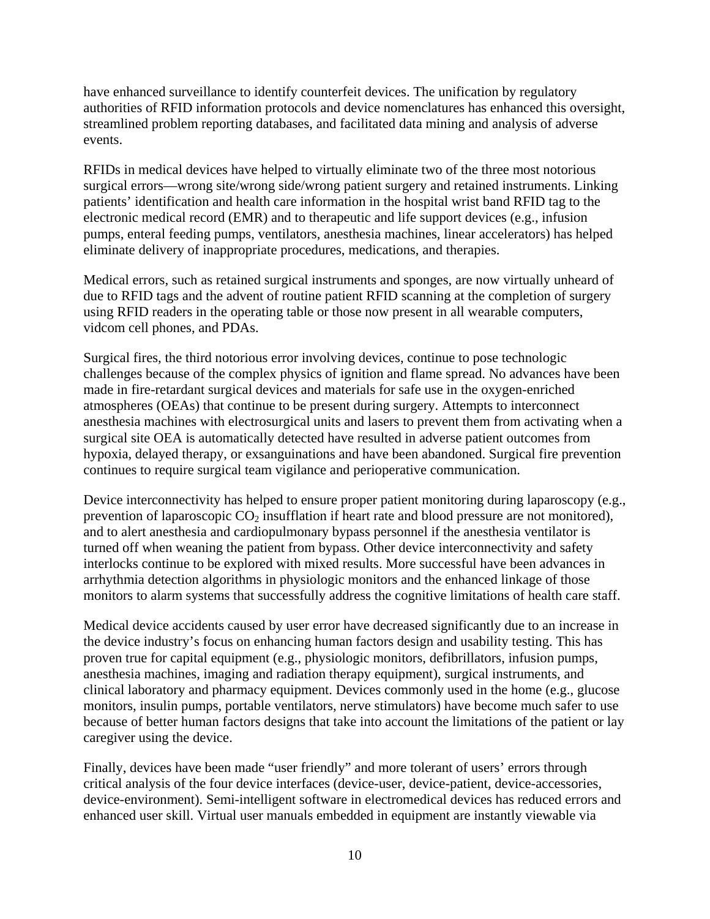have enhanced surveillance to identify counterfeit devices. The unification by regulatory authorities of RFID information protocols and device nomenclatures has enhanced this oversight, streamlined problem reporting databases, and facilitated data mining and analysis of adverse events.

RFIDs in medical devices have helped to virtually eliminate two of the three most notorious surgical errors—wrong site/wrong side/wrong patient surgery and retained instruments. Linking patients' identification and health care information in the hospital wrist band RFID tag to the electronic medical record (EMR) and to therapeutic and life support devices (e.g., infusion pumps, enteral feeding pumps, ventilators, anesthesia machines, linear accelerators) has helped eliminate delivery of inappropriate procedures, medications, and therapies.

Medical errors, such as retained surgical instruments and sponges, are now virtually unheard of due to RFID tags and the advent of routine patient RFID scanning at the completion of surgery using RFID readers in the operating table or those now present in all wearable computers, vidcom cell phones, and PDAs.

Surgical fires, the third notorious error involving devices, continue to pose technologic challenges because of the complex physics of ignition and flame spread. No advances have been made in fire-retardant surgical devices and materials for safe use in the oxygen-enriched atmospheres (OEAs) that continue to be present during surgery. Attempts to interconnect anesthesia machines with electrosurgical units and lasers to prevent them from activating when a surgical site OEA is automatically detected have resulted in adverse patient outcomes from hypoxia, delayed therapy, or exsanguinations and have been abandoned. Surgical fire prevention continues to require surgical team vigilance and perioperative communication.

Device interconnectivity has helped to ensure proper patient monitoring during laparoscopy (e.g., prevention of laparoscopic  $CO<sub>2</sub>$  insufflation if heart rate and blood pressure are not monitored), and to alert anesthesia and cardiopulmonary bypass personnel if the anesthesia ventilator is turned off when weaning the patient from bypass. Other device interconnectivity and safety interlocks continue to be explored with mixed results. More successful have been advances in arrhythmia detection algorithms in physiologic monitors and the enhanced linkage of those monitors to alarm systems that successfully address the cognitive limitations of health care staff.

Medical device accidents caused by user error have decreased significantly due to an increase in the device industry's focus on enhancing human factors design and usability testing. This has proven true for capital equipment (e.g., physiologic monitors, defibrillators, infusion pumps, anesthesia machines, imaging and radiation therapy equipment), surgical instruments, and clinical laboratory and pharmacy equipment. Devices commonly used in the home (e.g., glucose monitors, insulin pumps, portable ventilators, nerve stimulators) have become much safer to use because of better human factors designs that take into account the limitations of the patient or lay caregiver using the device.

Finally, devices have been made "user friendly" and more tolerant of users' errors through critical analysis of the four device interfaces (device-user, device-patient, device-accessories, device-environment). Semi-intelligent software in electromedical devices has reduced errors and enhanced user skill. Virtual user manuals embedded in equipment are instantly viewable via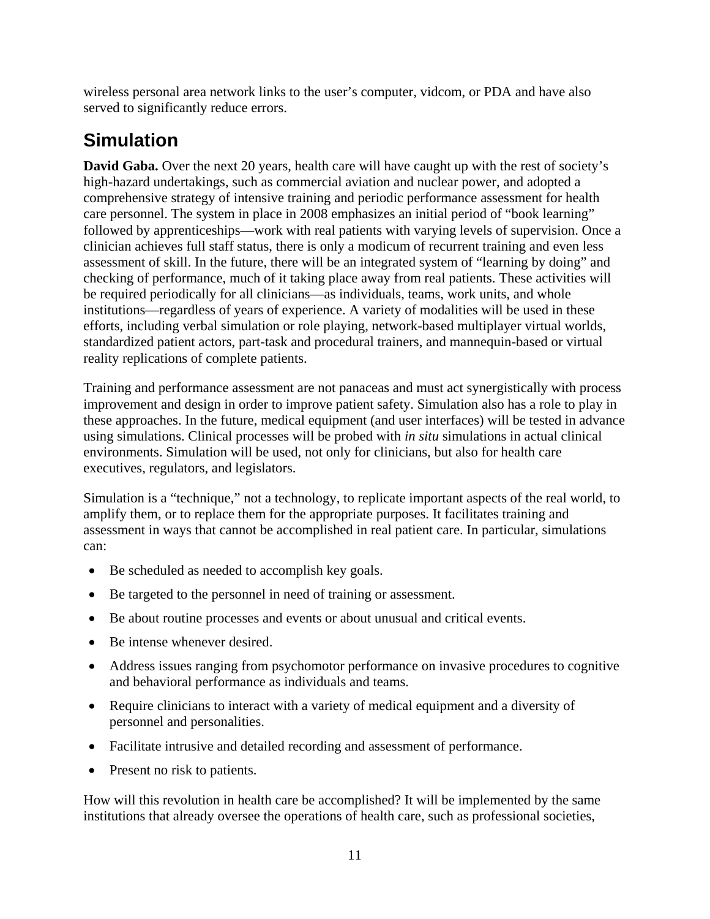wireless personal area network links to the user's computer, vidcom, or PDA and have also served to significantly reduce errors.

# **Simulation**

**David Gaba.** Over the next 20 years, health care will have caught up with the rest of society's high-hazard undertakings, such as commercial aviation and nuclear power, and adopted a comprehensive strategy of intensive training and periodic performance assessment for health care personnel. The system in place in 2008 emphasizes an initial period of "book learning" followed by apprenticeships—work with real patients with varying levels of supervision. Once a clinician achieves full staff status, there is only a modicum of recurrent training and even less assessment of skill. In the future, there will be an integrated system of "learning by doing" and checking of performance, much of it taking place away from real patients. These activities will be required periodically for all clinicians—as individuals, teams, work units, and whole institutions—regardless of years of experience. A variety of modalities will be used in these efforts, including verbal simulation or role playing, network-based multiplayer virtual worlds, standardized patient actors, part-task and procedural trainers, and mannequin-based or virtual reality replications of complete patients.

Training and performance assessment are not panaceas and must act synergistically with process improvement and design in order to improve patient safety. Simulation also has a role to play in these approaches. In the future, medical equipment (and user interfaces) will be tested in advance using simulations. Clinical processes will be probed with *in situ* simulations in actual clinical environments. Simulation will be used, not only for clinicians, but also for health care executives, regulators, and legislators.

Simulation is a "technique," not a technology, to replicate important aspects of the real world, to amplify them, or to replace them for the appropriate purposes. It facilitates training and assessment in ways that cannot be accomplished in real patient care. In particular, simulations can:

- Be scheduled as needed to accomplish key goals.
- Be targeted to the personnel in need of training or assessment.
- Be about routine processes and events or about unusual and critical events.
- Be intense whenever desired.
- Address issues ranging from psychomotor performance on invasive procedures to cognitive and behavioral performance as individuals and teams.
- Require clinicians to interact with a variety of medical equipment and a diversity of personnel and personalities.
- Facilitate intrusive and detailed recording and assessment of performance.
- Present no risk to patients.

How will this revolution in health care be accomplished? It will be implemented by the same institutions that already oversee the operations of health care, such as professional societies,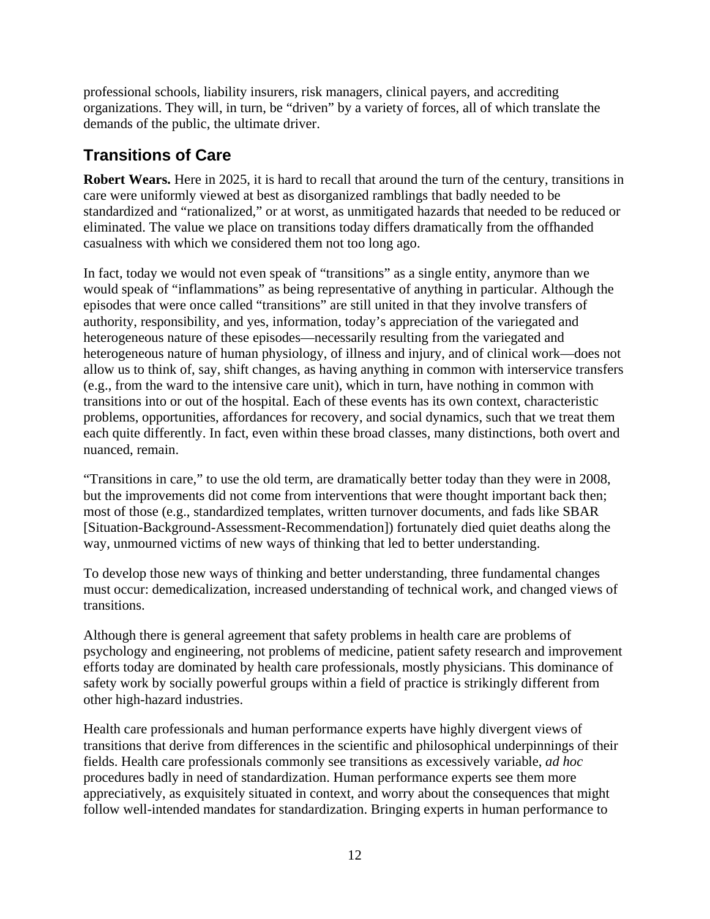professional schools, liability insurers, risk managers, clinical payers, and accrediting organizations. They will, in turn, be "driven" by a variety of forces, all of which translate the demands of the public, the ultimate driver.

#### **Transitions of Care**

**Robert Wears.** Here in 2025, it is hard to recall that around the turn of the century, transitions in care were uniformly viewed at best as disorganized ramblings that badly needed to be standardized and "rationalized," or at worst, as unmitigated hazards that needed to be reduced or eliminated. The value we place on transitions today differs dramatically from the offhanded casualness with which we considered them not too long ago.

In fact, today we would not even speak of "transitions" as a single entity, anymore than we would speak of "inflammations" as being representative of anything in particular. Although the episodes that were once called "transitions" are still united in that they involve transfers of authority, responsibility, and yes, information, today's appreciation of the variegated and heterogeneous nature of these episodes—necessarily resulting from the variegated and heterogeneous nature of human physiology, of illness and injury, and of clinical work—does not allow us to think of, say, shift changes, as having anything in common with interservice transfers (e.g., from the ward to the intensive care unit), which in turn, have nothing in common with transitions into or out of the hospital. Each of these events has its own context, characteristic problems, opportunities, affordances for recovery, and social dynamics, such that we treat them each quite differently. In fact, even within these broad classes, many distinctions, both overt and nuanced, remain.

"Transitions in care," to use the old term, are dramatically better today than they were in 2008, but the improvements did not come from interventions that were thought important back then; most of those (e.g., standardized templates, written turnover documents, and fads like SBAR [Situation-Background-Assessment-Recommendation]) fortunately died quiet deaths along the way, unmourned victims of new ways of thinking that led to better understanding.

To develop those new ways of thinking and better understanding, three fundamental changes must occur: demedicalization, increased understanding of technical work, and changed views of transitions.

Although there is general agreement that safety problems in health care are problems of psychology and engineering, not problems of medicine, patient safety research and improvement efforts today are dominated by health care professionals, mostly physicians. This dominance of safety work by socially powerful groups within a field of practice is strikingly different from other high-hazard industries.

Health care professionals and human performance experts have highly divergent views of transitions that derive from differences in the scientific and philosophical underpinnings of their fields. Health care professionals commonly see transitions as excessively variable, *ad hoc* procedures badly in need of standardization. Human performance experts see them more appreciatively, as exquisitely situated in context, and worry about the consequences that might follow well-intended mandates for standardization. Bringing experts in human performance to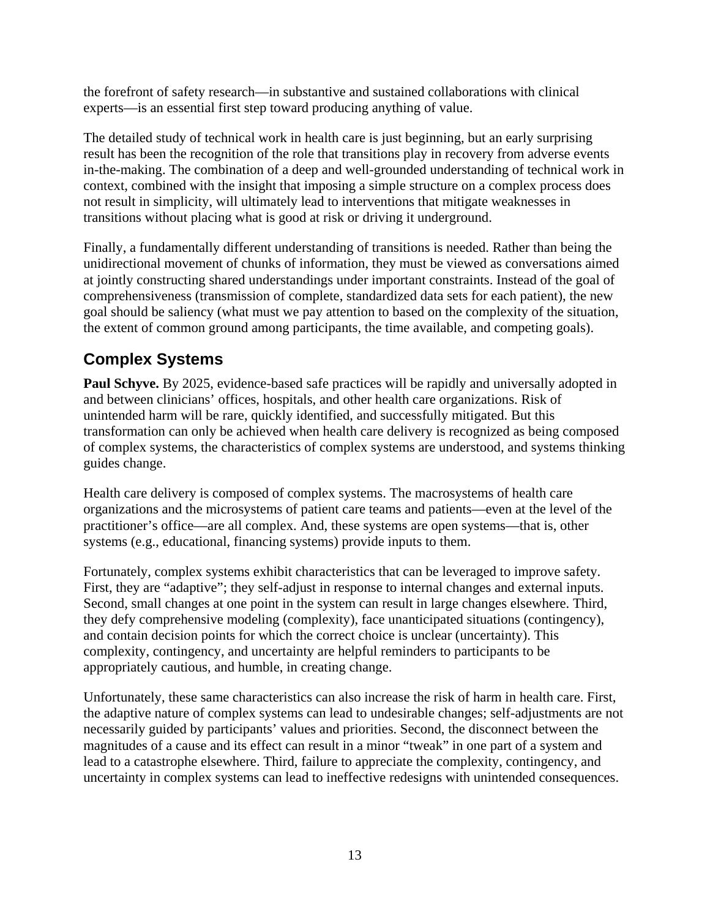the forefront of safety research—in substantive and sustained collaborations with clinical experts—is an essential first step toward producing anything of value.

The detailed study of technical work in health care is just beginning, but an early surprising result has been the recognition of the role that transitions play in recovery from adverse events in-the-making. The combination of a deep and well-grounded understanding of technical work in context, combined with the insight that imposing a simple structure on a complex process does not result in simplicity, will ultimately lead to interventions that mitigate weaknesses in transitions without placing what is good at risk or driving it underground.

Finally, a fundamentally different understanding of transitions is needed. Rather than being the unidirectional movement of chunks of information, they must be viewed as conversations aimed at jointly constructing shared understandings under important constraints. Instead of the goal of comprehensiveness (transmission of complete, standardized data sets for each patient), the new goal should be saliency (what must we pay attention to based on the complexity of the situation, the extent of common ground among participants, the time available, and competing goals).

### **Complex Systems**

**Paul Schyve.** By 2025, evidence-based safe practices will be rapidly and universally adopted in and between clinicians' offices, hospitals, and other health care organizations. Risk of unintended harm will be rare, quickly identified, and successfully mitigated. But this transformation can only be achieved when health care delivery is recognized as being composed of complex systems, the characteristics of complex systems are understood, and systems thinking guides change.

Health care delivery is composed of complex systems. The macrosystems of health care organizations and the microsystems of patient care teams and patients—even at the level of the practitioner's office—are all complex. And, these systems are open systems—that is, other systems (e.g., educational, financing systems) provide inputs to them.

Fortunately, complex systems exhibit characteristics that can be leveraged to improve safety. First, they are "adaptive"; they self-adjust in response to internal changes and external inputs. Second, small changes at one point in the system can result in large changes elsewhere. Third, they defy comprehensive modeling (complexity), face unanticipated situations (contingency), and contain decision points for which the correct choice is unclear (uncertainty). This complexity, contingency, and uncertainty are helpful reminders to participants to be appropriately cautious, and humble, in creating change.

Unfortunately, these same characteristics can also increase the risk of harm in health care. First, the adaptive nature of complex systems can lead to undesirable changes; self-adjustments are not necessarily guided by participants' values and priorities. Second, the disconnect between the magnitudes of a cause and its effect can result in a minor "tweak" in one part of a system and lead to a catastrophe elsewhere. Third, failure to appreciate the complexity, contingency, and uncertainty in complex systems can lead to ineffective redesigns with unintended consequences.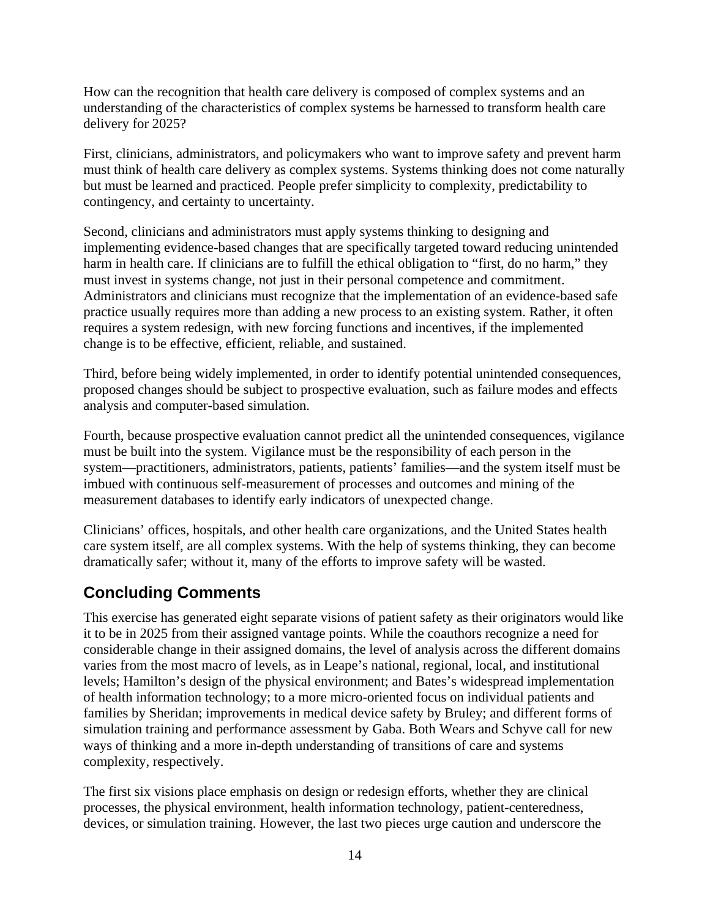How can the recognition that health care delivery is composed of complex systems and an understanding of the characteristics of complex systems be harnessed to transform health care delivery for 2025?

First, clinicians, administrators, and policymakers who want to improve safety and prevent harm must think of health care delivery as complex systems. Systems thinking does not come naturally but must be learned and practiced. People prefer simplicity to complexity, predictability to contingency, and certainty to uncertainty.

Second, clinicians and administrators must apply systems thinking to designing and implementing evidence-based changes that are specifically targeted toward reducing unintended harm in health care. If clinicians are to fulfill the ethical obligation to "first, do no harm," they must invest in systems change, not just in their personal competence and commitment. Administrators and clinicians must recognize that the implementation of an evidence-based safe practice usually requires more than adding a new process to an existing system. Rather, it often requires a system redesign, with new forcing functions and incentives, if the implemented change is to be effective, efficient, reliable, and sustained.

Third, before being widely implemented, in order to identify potential unintended consequences, proposed changes should be subject to prospective evaluation, such as failure modes and effects analysis and computer-based simulation.

Fourth, because prospective evaluation cannot predict all the unintended consequences, vigilance must be built into the system. Vigilance must be the responsibility of each person in the system—practitioners, administrators, patients, patients' families—and the system itself must be imbued with continuous self-measurement of processes and outcomes and mining of the measurement databases to identify early indicators of unexpected change.

Clinicians' offices, hospitals, and other health care organizations, and the United States health care system itself, are all complex systems. With the help of systems thinking, they can become dramatically safer; without it, many of the efforts to improve safety will be wasted.

### **Concluding Comments**

This exercise has generated eight separate visions of patient safety as their originators would like it to be in 2025 from their assigned vantage points. While the coauthors recognize a need for considerable change in their assigned domains, the level of analysis across the different domains varies from the most macro of levels, as in Leape's national, regional, local, and institutional levels; Hamilton's design of the physical environment; and Bates's widespread implementation of health information technology; to a more micro-oriented focus on individual patients and families by Sheridan; improvements in medical device safety by Bruley; and different forms of simulation training and performance assessment by Gaba. Both Wears and Schyve call for new ways of thinking and a more in-depth understanding of transitions of care and systems complexity, respectively.

The first six visions place emphasis on design or redesign efforts, whether they are clinical processes, the physical environment, health information technology, patient-centeredness, devices, or simulation training. However, the last two pieces urge caution and underscore the